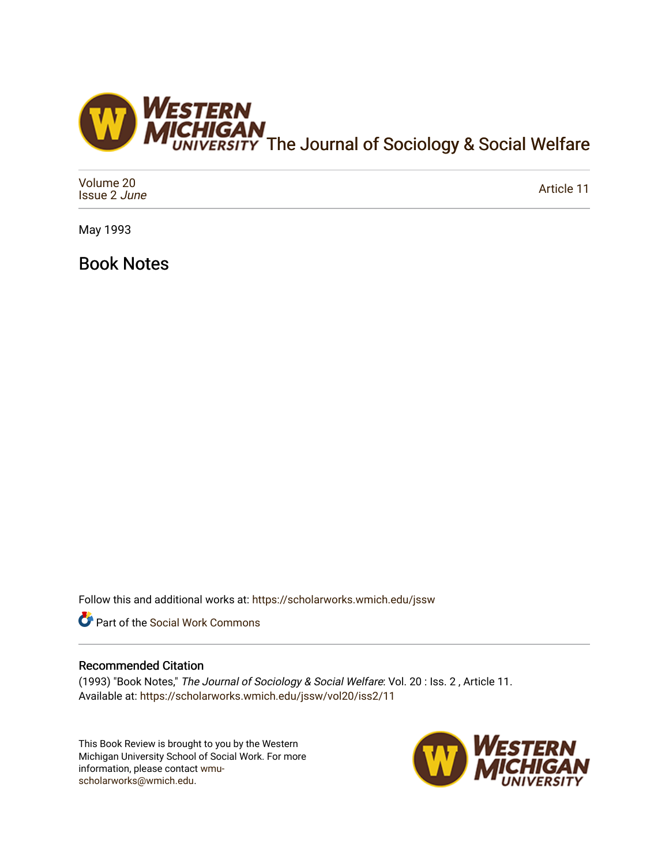

| Volume 20<br>Issue 2 June | Article 11 |
|---------------------------|------------|
|---------------------------|------------|

May 1993

Book Notes

Follow this and additional works at: [https://scholarworks.wmich.edu/jssw](https://scholarworks.wmich.edu/jssw?utm_source=scholarworks.wmich.edu%2Fjssw%2Fvol20%2Fiss2%2F11&utm_medium=PDF&utm_campaign=PDFCoverPages) 

**C** Part of the [Social Work Commons](http://network.bepress.com/hgg/discipline/713?utm_source=scholarworks.wmich.edu%2Fjssw%2Fvol20%2Fiss2%2F11&utm_medium=PDF&utm_campaign=PDFCoverPages)

## Recommended Citation

(1993) "Book Notes," The Journal of Sociology & Social Welfare: Vol. 20 : Iss. 2 , Article 11. Available at: [https://scholarworks.wmich.edu/jssw/vol20/iss2/11](https://scholarworks.wmich.edu/jssw/vol20/iss2/11?utm_source=scholarworks.wmich.edu%2Fjssw%2Fvol20%2Fiss2%2F11&utm_medium=PDF&utm_campaign=PDFCoverPages) 

This Book Review is brought to you by the Western Michigan University School of Social Work. For more information, please contact [wmu](mailto:wmu-scholarworks@wmich.edu)[scholarworks@wmich.edu.](mailto:wmu-scholarworks@wmich.edu)

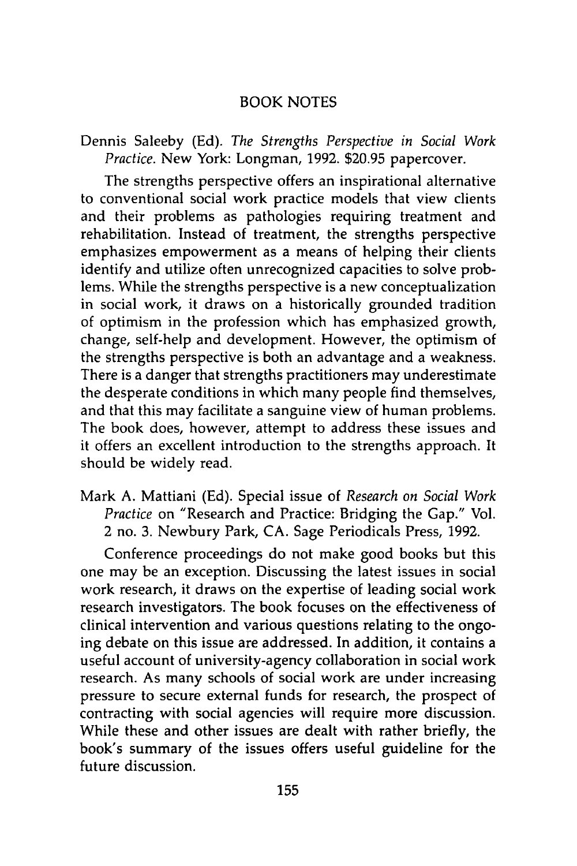## BOOK **NOTES**

Dennis Saleeby (Ed). *The Strengths Perspective in Social Work Practice.* New York: Longman, 1992. \$20.95 papercover.

The strengths perspective offers an inspirational alternative to conventional social work practice models that view clients and their problems as pathologies requiring treatment and rehabilitation. Instead of treatment, the strengths perspective emphasizes empowerment as a means of helping their clients identify and utilize often unrecognized capacities to solve problems. While the strengths perspective is a new conceptualization in social work, it draws on a historically grounded tradition of optimism in the profession which has emphasized growth, change, self-help and development. However, the optimism of the strengths perspective is both an advantage and a weakness. There is a danger that strengths practitioners may underestimate the desperate conditions in which many people find themselves, and that this may facilitate a sanguine view of human problems. The book does, however, attempt to address these issues and it offers an excellent introduction to the strengths approach. It should be widely read.

Mark A. Mattiani (Ed). Special issue of *Research on Social Work Practice* on "Research and Practice: Bridging the Gap." Vol. 2 no. 3. Newbury Park, CA. Sage Periodicals Press, 1992.

Conference proceedings do not make good books but this one may be an exception. Discussing the latest issues in social work research, it draws on the expertise of leading social work research investigators. The book focuses on the effectiveness of clinical intervention and various questions relating to the ongoing debate on this issue are addressed. In addition, it contains a useful account of university-agency collaboration in social work research. As many schools of social work are under increasing pressure to secure external funds for research, the prospect of contracting with social agencies will require more discussion. While these and other issues are dealt with rather briefly, the book's summary of the issues offers useful guideline for the future discussion.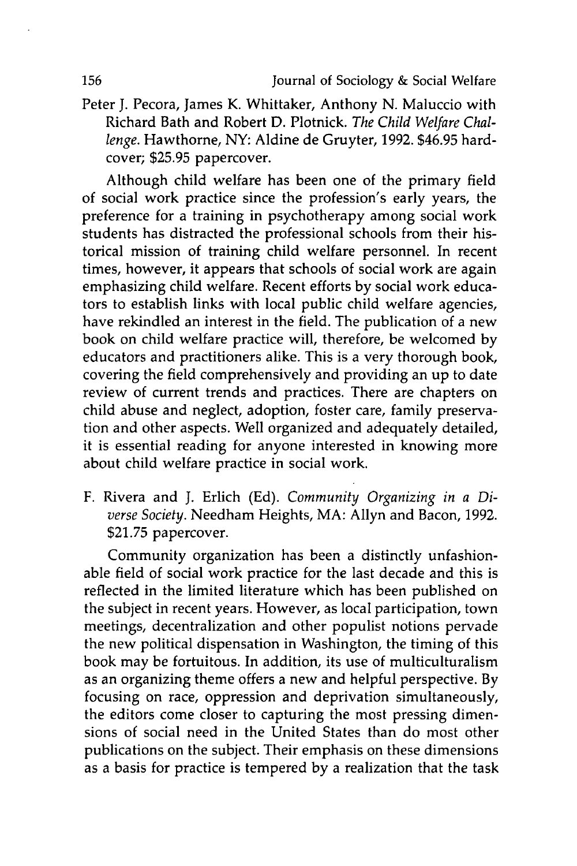Peter J. Pecora, James K. Whittaker, Anthony **N.** Maluccio with Richard Bath and Robert D. Plotnick. *The Child Welfare Challenge.* Hawthorne, NY: Aldine de Gruyter, 1992. \$46.95 hardcover; \$25.95 papercover.

Although child welfare has been one of the primary field of social work practice since the profession's early years, the preference for a training in psychotherapy among social work students has distracted the professional schools from their historical mission of training child welfare personnel. In recent times, however, it appears that schools of social work are again emphasizing child welfare. Recent efforts by social work educators to establish links with local public child welfare agencies, have rekindled an interest in the field. The publication of a new book on child welfare practice will, therefore, be welcomed by educators and practitioners alike. This is a very thorough book, covering the field comprehensively and providing an up to date review of current trends and practices. There are chapters on child abuse and neglect, adoption, foster care, family preservation and other aspects. Well organized and adequately detailed, it is essential reading for anyone interested in knowing more about child welfare practice in social work.

F. Rivera and J. Erlich (Ed). *Community Organizing in a Diverse Society.* Needham Heights, MA: Allyn and Bacon, 1992. \$21.75 papercover.

Community organization has been a distinctly unfashionable field of social work practice for the last decade and this is reflected in the limited literature which has been published on the subject in recent years. However, as local participation, town meetings, decentralization and other populist notions pervade the new political dispensation in Washington, the timing of this book may be fortuitous. In addition, its use of multiculturalism as an organizing theme offers a new and helpful perspective. By focusing on race, oppression and deprivation simultaneously, the editors come closer to capturing the most pressing dimensions of social need in the United States than do most other publications on the subject. Their emphasis on these dimensions as a basis for practice is tempered by a realization that the task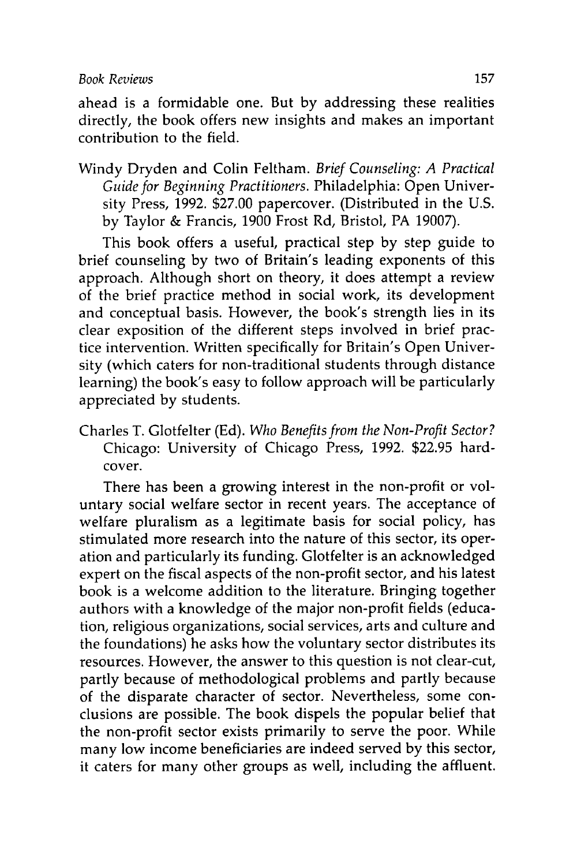## *Book Reviews* 157

ahead is a formidable one. But by addressing these realities directly, the book offers new insights and makes an important contribution to the field.

Windy Dryden and Colin Feltham. *Brief Counseling: A Practical Guide for Beginning Practitioners.* Philadelphia: Open University Press, 1992. \$27.00 papercover. (Distributed in the U.S. by Taylor & Francis, 1900 Frost Rd, Bristol, PA 19007).

This book offers a useful, practical step by step guide to brief counseling by two of Britain's leading exponents of this approach. Although short on theory, it does attempt a review of the brief practice method in social work, its development and conceptual basis. However, the book's strength lies in its clear exposition of the different steps involved in brief practice intervention. Written specifically for Britain's Open University (which caters for non-traditional students through distance learning) the book's easy to follow approach will be particularly appreciated by students.

Charles T. Glotfelter (Ed). *Who Benefits from the Non-Profit Sector?* Chicago: University of Chicago Press, 1992. \$22.95 hardcover.

There has been a growing interest in the non-profit or voluntary social welfare sector in recent years. The acceptance of welfare pluralism as a legitimate basis for social policy, has stimulated more research into the nature of this sector, its operation and particularly its funding. Glotfelter is an acknowledged expert on the fiscal aspects of the non-profit sector, and his latest book is a welcome addition to the literature. Bringing together authors with a knowledge of the major non-profit fields (education, religious organizations, social services, arts and culture and the foundations) he asks how the voluntary sector distributes its resources. However, the answer to this question is not clear-cut, partly because of methodological problems and partly because of the disparate character of sector. Nevertheless, some conclusions are possible. The book dispels the popular belief that the non-profit sector exists primarily to serve the poor. While many low income beneficiaries are indeed served by this sector, it caters for many other groups as well, including the affluent.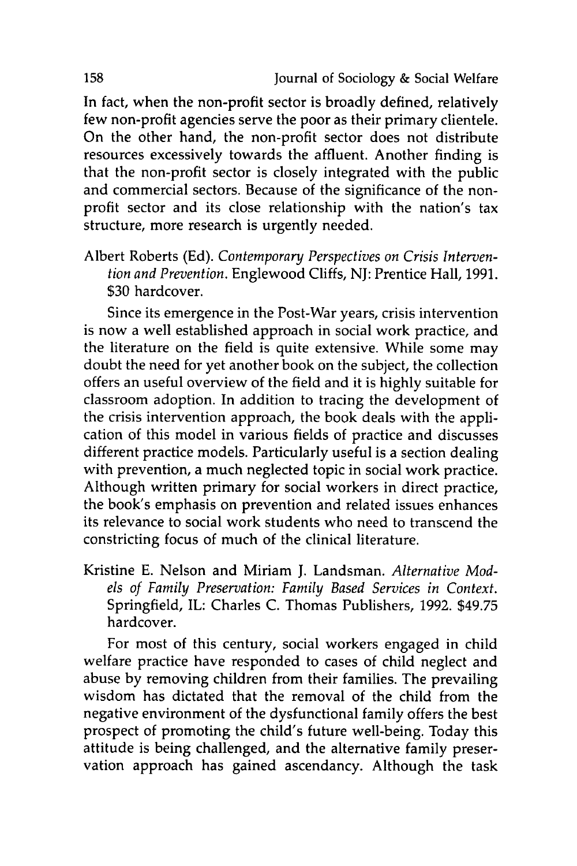In fact, when the non-profit sector is broadly defined, relatively few non-profit agencies serve the poor as their primary clientele. On the other hand, the non-profit sector does not distribute resources excessively towards the affluent. Another finding is that the non-profit sector is closely integrated with the public and commercial sectors. Because of the significance of the nonprofit sector and its close relationship with the nation's tax structure, more research is urgently needed.

Albert Roberts **(Ed).** *Contemporary Perspectives on Crisis Intervention and Prevention.* Englewood Cliffs, **NJ:** Prentice Hall, **1991. \$30** hardcover.

Since its emergence in the Post-War years, crisis intervention is now a well established approach in social work practice, and the literature on the field is quite extensive. While some may doubt the need for yet another book on the subject, the collection offers an useful overview of the field and it is **highly** suitable for classroom adoption. In addition to tracing the development of the crisis intervention approach, the book deals with the application of this model in various fields of practice and discusses different practice models. Particularly useful is a section dealing with prevention, a much neglected topic in social work practice. Although written primary for social workers in direct practice, the book's emphasis on prevention and related issues enhances its relevance to social work students who need to transcend the constricting focus of much of the clinical literature.

Kristine **E.** Nelson and Miriam **J.** Landsman. *Alternative Models of Family Preservation: Family Based Services in Context.* Springfield, IL: Charles **C.** Thomas Publishers, **1992. \$49.75** hardcover.

For most of this century, social workers engaged in child welfare practice have responded to cases of child neglect and abuse **by** removing children from their families. The prevailing wisdom has dictated that the removal of the child from the negative environment of the dysfunctional family offers the best prospect of promoting the child's future well-being. Today this attitude is being challenged, and the alternative family preservation approach has gained ascendancy. Although the task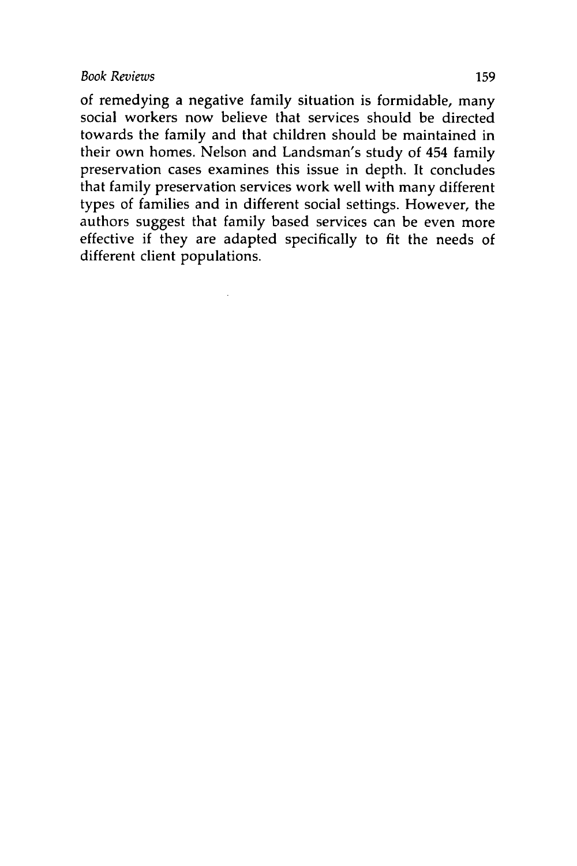of remedying a negative family situation is formidable, many social workers now believe that services should be directed towards the family and that children should be maintained in their own homes. Nelson and Landsman's study of 454 family preservation cases examines this issue in depth. It concludes that family preservation services work well with many different types of families and in different social settings. However, the authors suggest that family based services can be even more effective if they are adapted specifically to fit the needs of different client populations.